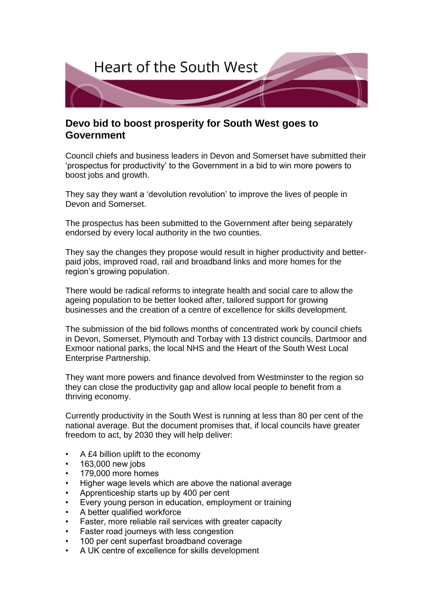

## **Devo bid to boost prosperity for South West goes to Government**

Council chiefs and business leaders in Devon and Somerset have submitted their 'prospectus for productivity' to the Government in a bid to win more powers to boost jobs and growth.

They say they want a 'devolution revolution' to improve the lives of people in Devon and Somerset.

The prospectus has been submitted to the Government after being separately endorsed by every local authority in the two counties.

They say the changes they propose would result in higher productivity and betterpaid jobs, improved road, rail and broadband links and more homes for the region's growing population.

There would be radical reforms to integrate health and social care to allow the ageing population to be better looked after, tailored support for growing businesses and the creation of a centre of excellence for skills development.

The submission of the bid follows months of concentrated work by council chiefs in Devon, Somerset, Plymouth and Torbay with 13 district councils, Dartmoor and Exmoor national parks, the local NHS and the Heart of the South West Local Enterprise Partnership.

They want more powers and finance devolved from Westminster to the region so they can close the productivity gap and allow local people to benefit from a thriving economy.

Currently productivity in the South West is running at less than 80 per cent of the national average. But the document promises that, if local councils have greater freedom to act, by 2030 they will help deliver:

- A £4 billion uplift to the economy
- 163,000 new jobs
- 179,000 more homes
- Higher wage levels which are above the national average
- Apprenticeship starts up by 400 per cent
- Every young person in education, employment or training
- A better qualified workforce
- Faster, more reliable rail services with greater capacity
- Faster road journeys with less congestion
- 100 per cent superfast broadband coverage
- A UK centre of excellence for skills development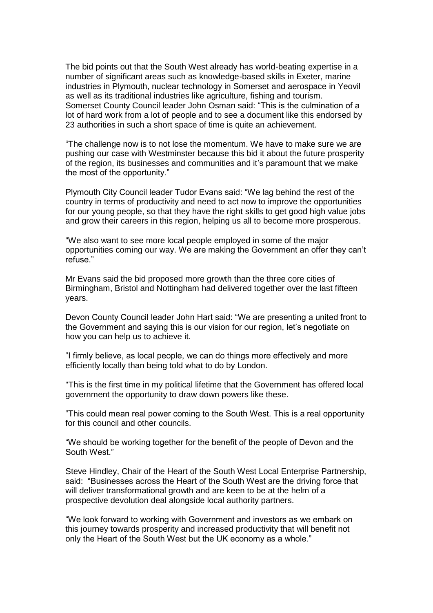The bid points out that the South West already has world-beating expertise in a number of significant areas such as knowledge-based skills in Exeter, marine industries in Plymouth, nuclear technology in Somerset and aerospace in Yeovil as well as its traditional industries like agriculture, fishing and tourism. Somerset County Council leader John Osman said: "This is the culmination of a lot of hard work from a lot of people and to see a document like this endorsed by 23 authorities in such a short space of time is quite an achievement.

"The challenge now is to not lose the momentum. We have to make sure we are pushing our case with Westminster because this bid it about the future prosperity of the region, its businesses and communities and it's paramount that we make the most of the opportunity."

Plymouth City Council leader Tudor Evans said: "We lag behind the rest of the country in terms of productivity and need to act now to improve the opportunities for our young people, so that they have the right skills to get good high value jobs and grow their careers in this region, helping us all to become more prosperous.

"We also want to see more local people employed in some of the major opportunities coming our way. We are making the Government an offer they can't refuse."

Mr Evans said the bid proposed more growth than the three core cities of Birmingham, Bristol and Nottingham had delivered together over the last fifteen years.

Devon County Council leader John Hart said: "We are presenting a united front to the Government and saying this is our vision for our region, let's negotiate on how you can help us to achieve it.

"I firmly believe, as local people, we can do things more effectively and more efficiently locally than being told what to do by London.

"This is the first time in my political lifetime that the Government has offered local government the opportunity to draw down powers like these.

"This could mean real power coming to the South West. This is a real opportunity for this council and other councils.

"We should be working together for the benefit of the people of Devon and the South West."

Steve Hindley, Chair of the Heart of the South West Local Enterprise Partnership, said: "Businesses across the Heart of the South West are the driving force that will deliver transformational growth and are keen to be at the helm of a prospective devolution deal alongside local authority partners.

"We look forward to working with Government and investors as we embark on this journey towards prosperity and increased productivity that will benefit not only the Heart of the South West but the UK economy as a whole."